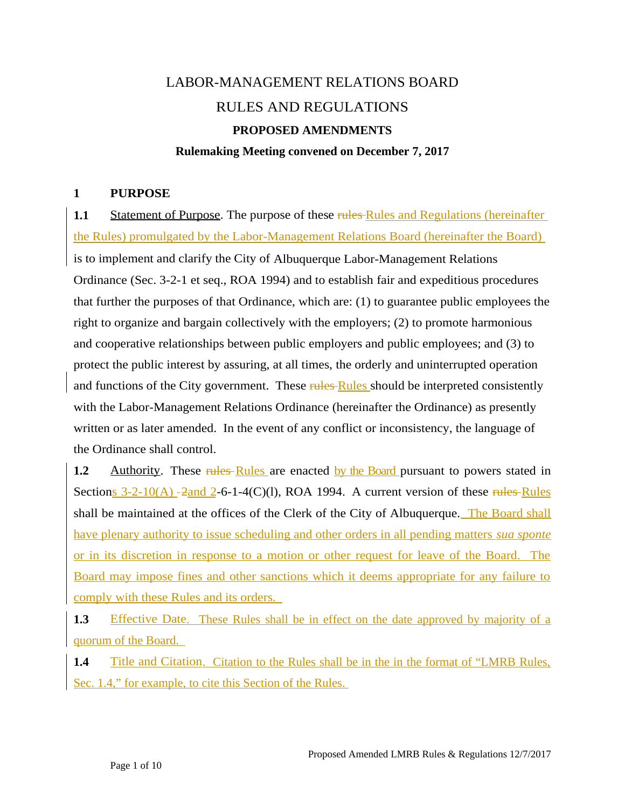# LABOR-MANAGEMENT RELATIONS BOARD RULES AND REGULATIONS **PROPOSED AMENDMENTS Rulemaking Meeting convened on December 7, 2017**

#### **1 PURPOSE**

**1.1** Statement of Purpose. The purpose of these rules Rules and Regulations (hereinafter the Rules) promulgated by the Labor-Management Relations Board (hereinafter the Board) is to implement and clarify the City of Albuquerque Labor-Management Relations Ordinance (Sec. 3-2-1 et seq., ROA 1994) and to establish fair and expeditious procedures that further the purposes of that Ordinance, which are: (1) to guarantee public employees the right to organize and bargain collectively with the employers; (2) to promote harmonious and cooperative relationships between public employers and public employees; and (3) to protect the public interest by assuring, at all times, the orderly and uninterrupted operation and functions of the City government. These rules Rules should be interpreted consistently with the Labor-Management Relations Ordinance (hereinafter the Ordinance) as presently written or as later amended. In the event of any conflict or inconsistency, the language of the Ordinance shall control.

**1.2** Authority. These rules Rules are enacted by the Board pursuant to powers stated in Sections  $3-2-10(A)$   $-2$  and  $2-6-1-4(C)(1)$ , ROA 1994. A current version of these rules Rules shall be maintained at the offices of the Clerk of the City of Albuquerque. The Board shall have plenary authority to issue scheduling and other orders in all pending matters *sua sponte* or in its discretion in response to a motion or other request for leave of the Board. The Board may impose fines and other sanctions which it deems appropriate for any failure to comply with these Rules and its orders.

**1.3** Effective Date. These Rules shall be in effect on the date approved by majority of a quorum of the Board.

**1.4** Title and Citation. Citation to the Rules shall be in the in the format of "LMRB Rules, Sec. 1.4," for example, to cite this Section of the Rules.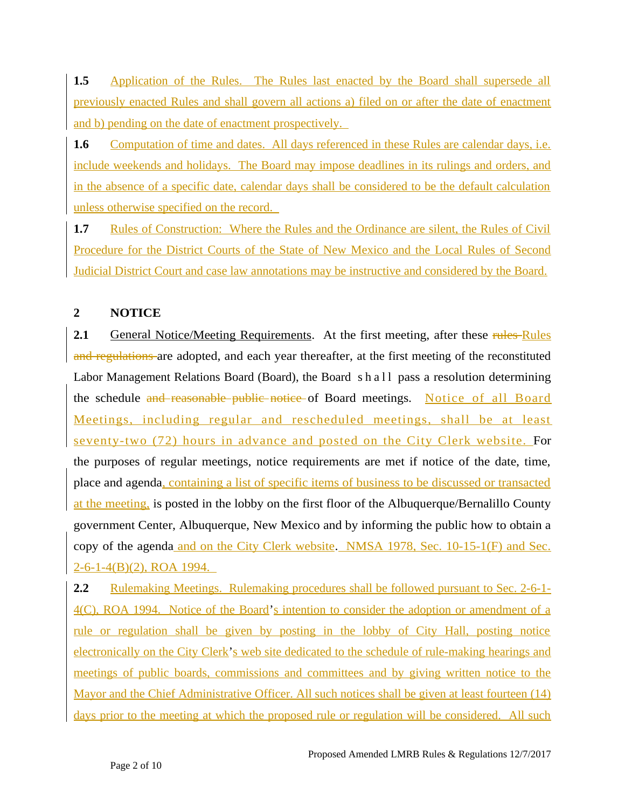**1.5** Application of the Rules. The Rules last enacted by the Board shall supersede all previously enacted Rules and shall govern all actions a) filed on or after the date of enactment and b) pending on the date of enactment prospectively.

**1.6** Computation of time and dates. All days referenced in these Rules are calendar days, i.e. include weekends and holidays. The Board may impose deadlines in its rulings and orders, and in the absence of a specific date, calendar days shall be considered to be the default calculation unless otherwise specified on the record.

**1.7** Rules of Construction: Where the Rules and the Ordinance are silent, the Rules of Civil Procedure for the District Courts of the State of New Mexico and the Local Rules of Second Judicial District Court and case law annotations may be instructive and considered by the Board.

# **2 NOTICE**

**2.1** General Notice/Meeting Requirements. At the first meeting, after these rules Rules and regulations are adopted, and each year thereafter, at the first meeting of the reconstituted Labor Management Relations Board (Board), the Board s h a l l pass a resolution determining the schedule and reasonable public notice of Board meetings. Notice of all Board Meetings, including regular and rescheduled meetings, shall be at least seventy-two (72) hours in advance and posted on the City Clerk website. For the purposes of regular meetings, notice requirements are met if notice of the date, time, place and agenda, containing a list of specific items of business to be discussed or transacted at the meeting, is posted in the lobby on the first floor of the Albuquerque/Bernalillo County government Center, Albuquerque, New Mexico and by informing the public how to obtain a copy of the agenda and on the City Clerk website. NMSA 1978, Sec. 10-15-1(F) and Sec. 2-6-1-4(B)(2), ROA 1994.

**2.2** Rulemaking Meetings. Rulemaking procedures shall be followed pursuant to Sec. 2-6-1-4(C), ROA 1994. Notice of the Board's intention to consider the adoption or amendment of a rule or regulation shall be given by posting in the lobby of City Hall, posting notice electronically on the City Clerk's web site dedicated to the schedule of rule-making hearings and meetings of public boards, commissions and committees and by giving written notice to the Mayor and the Chief Administrative Officer. All such notices shall be given at least fourteen (14) days prior to the meeting at which the proposed rule or regulation will be considered. All such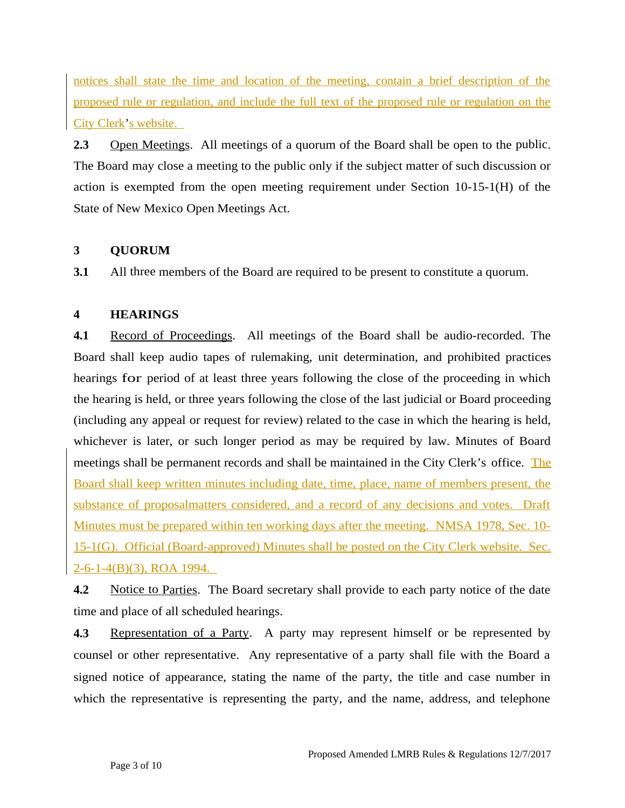notices shall state the time and location of the meeting, contain a brief description of the proposed rule or regulation, and include the full text of the proposed rule or regulation on the City Clerk's website.

**2.3** Open Meetings. All meetings of a quorum of the Board shall be open to the public. The Board may close a meeting to the public only if the subject matter of such discussion or action is exempted from the open meeting requirement under Section 10-15-1(H) of the State of New Mexico Open Meetings Act.

# **3 QUORUM**

**3.1** All three members of the Board are required to be present to constitute a quorum.

## **4 HEARINGS**

**4.1** Record of Proceedings. All meetings of the Board shall be audio-recorded. The Board shall keep audio tapes of rulemaking, unit determination, and prohibited practices hearings for period of at least three years following the close of the proceeding in which the hearing is held, or three years following the close of the last judicial or Board proceeding (including any appeal or request for review) related to the case in which the hearing is held, whichever is later, or such longer period as may be required by law. Minutes of Board meetings shall be permanent records and shall be maintained in the City Clerk's office. The Board shall keep written minutes including date, time, place, name of members present, the substance of proposalmatters considered, and a record of any decisions and votes. Draft Minutes must be prepared within ten working days after the meeting. NMSA 1978, Sec. 10- 15-1(G). Official (Board-approved) Minutes shall be posted on the City Clerk website. Sec. 2-6-1-4(B)(3), ROA 1994.

**4.2** Notice to Parties. The Board secretary shall provide to each party notice of the date time and place of all scheduled hearings.

**4.3** Representation of a Party. A party may represent himself or be represented by counsel or other representative. Any representative of a party shall file with the Board a signed notice of appearance, stating the name of the party, the title and case number in which the representative is representing the party, and the name, address, and telephone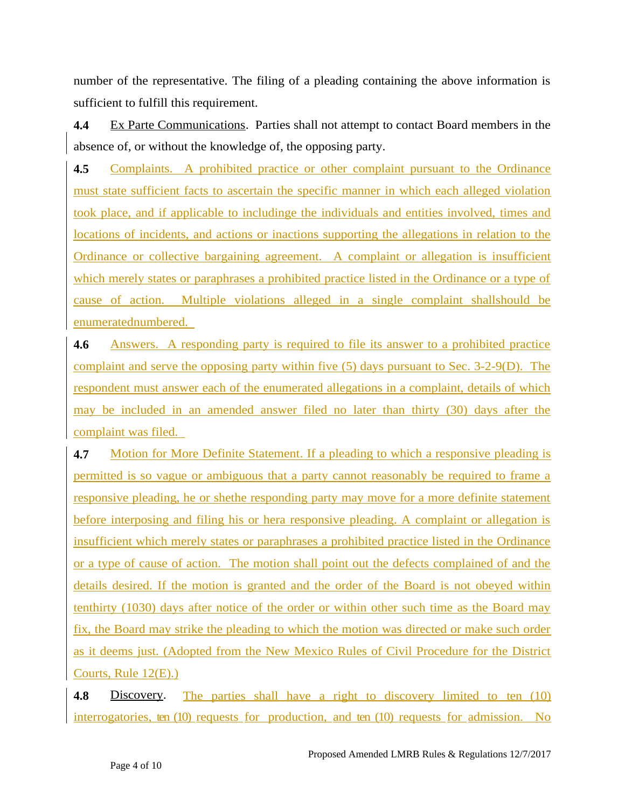number of the representative. The filing of a pleading containing the above information is sufficient to fulfill this requirement.

**4.4** Ex Parte Communications. Parties shall not attempt to contact Board members in the absence of, or without the knowledge of, the opposing party.

**4.5** Complaints. A prohibited practice or other complaint pursuant to the Ordinance must state sufficient facts to ascertain the specific manner in which each alleged violation took place, and if applicable to includinge the individuals and entities involved, times and locations of incidents, and actions or inactions supporting the allegations in relation to the Ordinance or collective bargaining agreement. A complaint or allegation is insufficient which merely states or paraphrases a prohibited practice listed in the Ordinance or a type of cause of action. Multiple violations alleged in a single complaint shallshould be enumeratednumbered.

**4.6** Answers. A responding party is required to file its answer to a prohibited practice complaint and serve the opposing party within five (5) days pursuant to Sec. 3-2-9(D). The respondent must answer each of the enumerated allegations in a complaint, details of which may be included in an amended answer filed no later than thirty (30) days after the complaint was filed.

**4.7** Motion for More Definite Statement. If a pleading to which a responsive pleading is permitted is so vague or ambiguous that a party cannot reasonably be required to frame a responsive pleading, he or shethe responding party may move for a more definite statement before interposing and filing his or hera responsive pleading. A complaint or allegation is insufficient which merely states or paraphrases a prohibited practice listed in the Ordinance or a type of cause of action. The motion shall point out the defects complained of and the details desired. If the motion is granted and the order of the Board is not obeyed within tenthirty (1030) days after notice of the order or within other such time as the Board may fix, the Board may strike the pleading to which the motion was directed or make such order as it deems just. (Adopted from the New Mexico Rules of Civil Procedure for the District Courts, Rule 12(E).)

**4.8** Discovery. The parties shall have a right to discovery limited to ten (10) interrogatories, ten  $(10)$  requests for production, and ten  $(10)$  requests for admission. No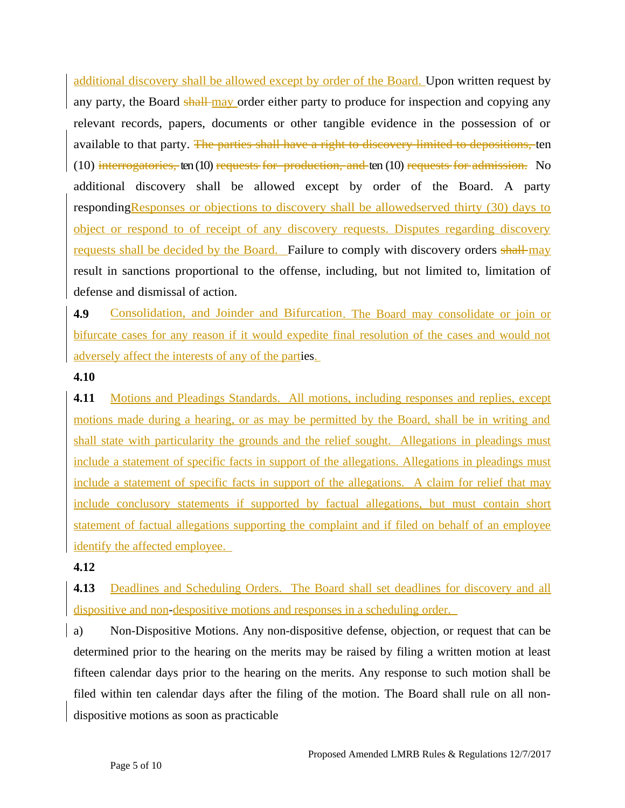additional discovery shall be allowed except by order of the Board. Upon written request by any party, the Board shall may order either party to produce for inspection and copying any relevant records, papers, documents or other tangible evidence in the possession of or available to that party. The parties shall have a right to discovery limited to depositions, ten (10) interrogatories, ten (10) requests for production, and ten (10) requests for admission. No additional discovery shall be allowed except by order of the Board. A party responding Responses or objections to discovery shall be allowedserved thirty (30) days to object or respond to of receipt of any discovery requests. Disputes regarding discovery requests shall be decided by the Board. Failure to comply with discovery orders shall may result in sanctions proportional to the offense, including, but not limited to, limitation of defense and dismissal of action.

**4.9** Consolidation, and Joinder and Bifurcation. The Board may consolidate or join or bifurcate cases for any reason if it would expedite final resolution of the cases and would not adversely affect the interests of any of the parties.

#### **4.10**

**4.11** Motions and Pleadings Standards. All motions, including responses and replies, except motions made during a hearing, or as may be permitted by the Board, shall be in writing and shall state with particularity the grounds and the relief sought. Allegations in pleadings must include a statement of specific facts in support of the allegations. Allegations in pleadings must include a statement of specific facts in support of the allegations. A claim for relief that may include conclusory statements if supported by factual allegations, but must contain short statement of factual allegations supporting the complaint and if filed on behalf of an employee identify the affected employee.

#### **4.12**

**4.13** Deadlines and Scheduling Orders. The Board shall set deadlines for discovery and all dispositive and non-despositive motions and responses in a scheduling order.

a) Non-Dispositive Motions. Any non-dispositive defense, objection, or request that can be determined prior to the hearing on the merits may be raised by filing a written motion at least fifteen calendar days prior to the hearing on the merits. Any response to such motion shall be filed within ten calendar days after the filing of the motion. The Board shall rule on all nondispositive motions as soon as practicable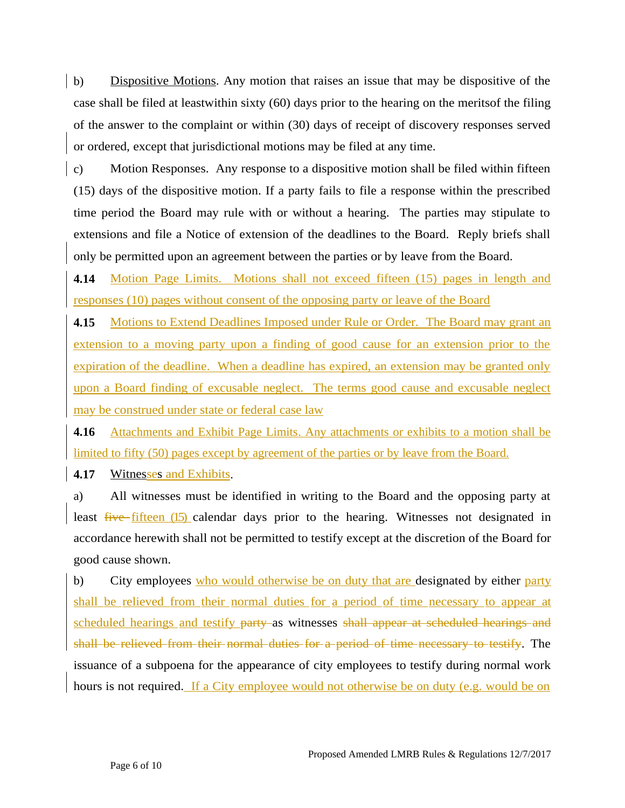b) Dispositive Motions. Any motion that raises an issue that may be dispositive of the case shall be filed at leastwithin sixty (60) days prior to the hearing on the meritsof the filing of the answer to the complaint or within (30) days of receipt of discovery responses served or ordered, except that jurisdictional motions may be filed at any time.

c) Motion Responses. Any response to a dispositive motion shall be filed within fifteen (15) days of the dispositive motion. If a party fails to file a response within the prescribed time period the Board may rule with or without a hearing. The parties may stipulate to extensions and file a Notice of extension of the deadlines to the Board. Reply briefs shall only be permitted upon an agreement between the parties or by leave from the Board.

**4.14** Motion Page Limits. Motions shall not exceed fifteen (15) pages in length and responses (10) pages without consent of the opposing party or leave of the Board

**4.15** Motions to Extend Deadlines Imposed under Rule or Order. The Board may grant an extension to a moving party upon a finding of good cause for an extension prior to the expiration of the deadline. When a deadline has expired, an extension may be granted only upon a Board finding of excusable neglect. The terms good cause and excusable neglect may be construed under state or federal case law

**4.16** Attachments and Exhibit Page Limits. Any attachments or exhibits to a motion shall be limited to fifty (50) pages except by agreement of the parties or by leave from the Board.

**4.17** Witnesses and Exhibits.

a) All witnesses must be identified in writing to the Board and the opposing party at least five fifteen (15) calendar days prior to the hearing. Witnesses not designated in accordance herewith shall not be permitted to testify except at the discretion of the Board for good cause shown.

b) City employees who would otherwise be on duty that are designated by either party shall be relieved from their normal duties for a period of time necessary to appear at scheduled hearings and testify party as witnesses shall appear at scheduled hearings and shall be relieved from their normal duties for a period of time necessary to testify. The issuance of a subpoena for the appearance of city employees to testify during normal work hours is not required. If a City employee would not otherwise be on duty (e.g. would be on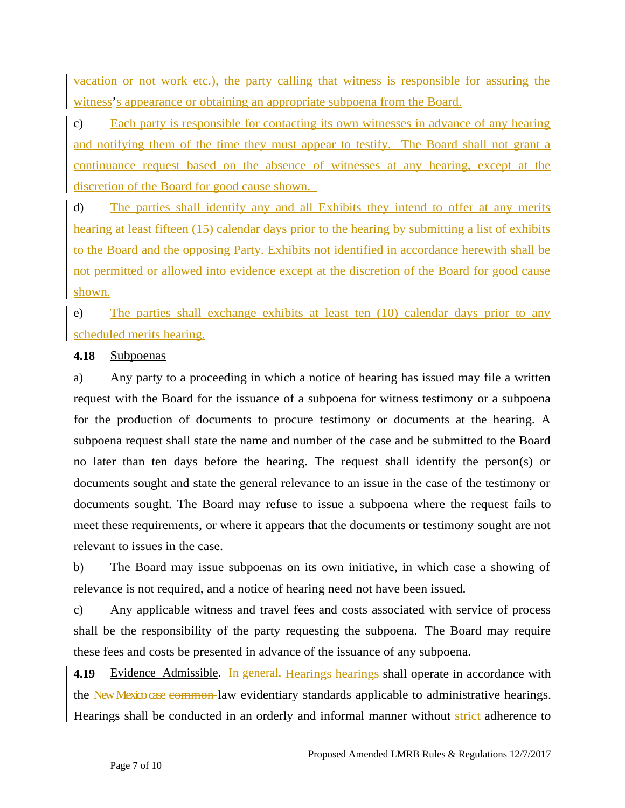vacation or not work etc.), the party calling that witness is responsible for assuring the witness's appearance or obtaining an appropriate subpoena from the Board.

c) Each party is responsible for contacting its own witnesses in advance of any hearing and notifying them of the time they must appear to testify. The Board shall not grant a continuance request based on the absence of witnesses at any hearing, except at the discretion of the Board for good cause shown.

d) The parties shall identify any and all Exhibits they intend to offer at any merits hearing at least fifteen (15) calendar days prior to the hearing by submitting a list of exhibits to the Board and the opposing Party. Exhibits not identified in accordance herewith shall be not permitted or allowed into evidence except at the discretion of the Board for good cause shown.

e) The parties shall exchange exhibits at least ten (10) calendar days prior to any scheduled merits hearing.

#### **4.18** Subpoenas

a) Any party to a proceeding in which a notice of hearing has issued may file a written request with the Board for the issuance of a subpoena for witness testimony or a subpoena for the production of documents to procure testimony or documents at the hearing. A subpoena request shall state the name and number of the case and be submitted to the Board no later than ten days before the hearing. The request shall identify the person(s) or documents sought and state the general relevance to an issue in the case of the testimony or documents sought. The Board may refuse to issue a subpoena where the request fails to meet these requirements, or where it appears that the documents or testimony sought are not relevant to issues in the case.

b) The Board may issue subpoenas on its own initiative, in which case a showing of relevance is not required, and a notice of hearing need not have been issued.

c) Any applicable witness and travel fees and costs associated with service of process shall be the responsibility of the party requesting the subpoena. The Board may require these fees and costs be presented in advance of the issuance of any subpoena.

**4.19** Evidence Admissible. In general, Hearings hearings shall operate in accordance with the New Mexico case common law evidentiary standards applicable to administrative hearings. Hearings shall be conducted in an orderly and informal manner without strict adherence to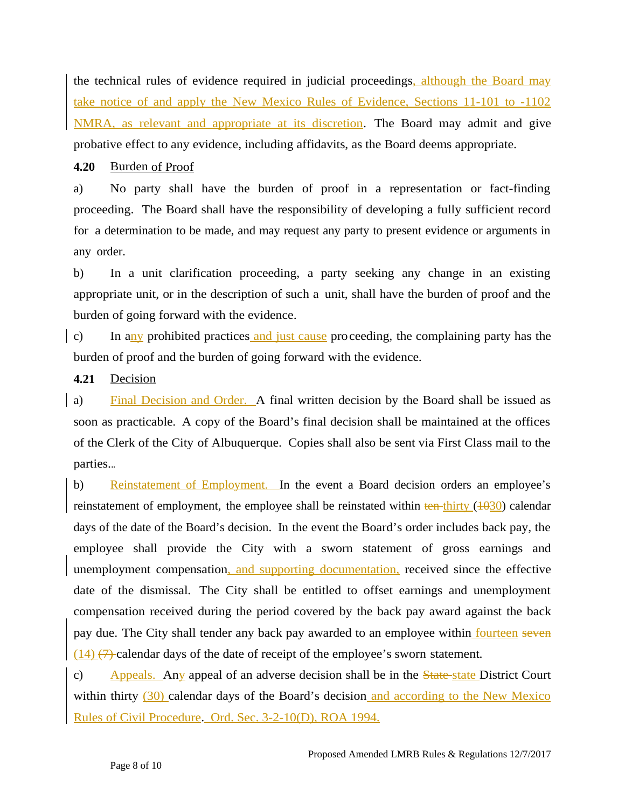the technical rules of evidence required in judicial proceedings, although the Board may take notice of and apply the New Mexico Rules of Evidence, Sections 11-101 to -1102 NMRA, as relevant and appropriate at its discretion. The Board may admit and give probative effect to any evidence, including affidavits, as the Board deems appropriate.

## **4.20** Burden of Proof

a) No party shall have the burden of proof in a representation or fact-finding proceeding. The Board shall have the responsibility of developing a fully sufficient record for a determination to be made, and may request any party to present evidence or arguments in any order.

b) In a unit clarification proceeding, a party seeking any change in an existing appropriate unit, or in the description of such a unit, shall have the burden of proof and the burden of going forward with the evidence.

c) In any prohibited practices and just cause proceeding, the complaining party has the burden of proof and the burden of going forward with the evidence.

#### **4.21** Decision

a) Final Decision and Order. A final written decision by the Board shall be issued as soon as practicable. A copy of the Board's final decision shall be maintained at the offices of the Clerk of the City of Albuquerque. Copies shall also be sent via First Class mail to the parties...

b) Reinstatement of Employment. In the event a Board decision orders an employee's reinstatement of employment, the employee shall be reinstated within  $\frac{\pi}{100}$  (1030) calendar days of the date of the Board's decision. In the event the Board's order includes back pay, the employee shall provide the City with a sworn statement of gross earnings and unemployment compensation, and supporting documentation, received since the effective date of the dismissal. The City shall be entitled to offset earnings and unemployment compensation received during the period covered by the back pay award against the back pay due. The City shall tender any back pay awarded to an employee within fourteen seven  $(14)$   $(7)$  calendar days of the date of receipt of the employee's sworn statement.

c) Appeals. Any appeal of an adverse decision shall be in the  $\frac{State\_state\_state}{Distance}$  District Court within thirty (30) calendar days of the Board's decision and according to the New Mexico Rules of Civil Procedure. Ord. Sec. 3-2-10(D), ROA 1994.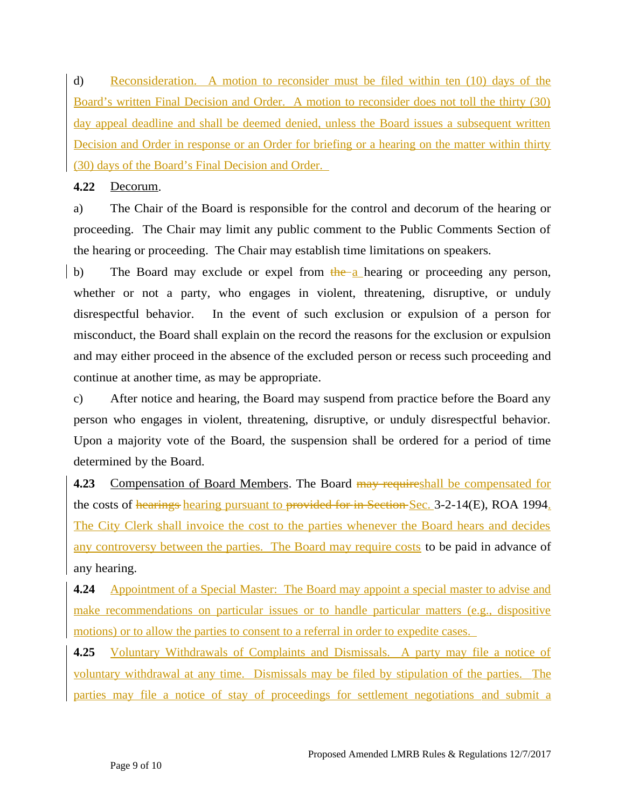d) Reconsideration. A motion to reconsider must be filed within ten (10) days of the Board's written Final Decision and Order. A motion to reconsider does not toll the thirty (30) day appeal deadline and shall be deemed denied, unless the Board issues a subsequent written Decision and Order in response or an Order for briefing or a hearing on the matter within thirty (30) days of the Board's Final Decision and Order.

#### **4.22** Decorum.

a) The Chair of the Board is responsible for the control and decorum of the hearing or proceeding. The Chair may limit any public comment to the Public Comments Section of the hearing or proceeding. The Chair may establish time limitations on speakers.

b) The Board may exclude or expel from  $\frac{1}{h}$  the a hearing or proceeding any person, whether or not a party, who engages in violent, threatening, disruptive, or unduly disrespectful behavior. In the event of such exclusion or expulsion of a person for misconduct, the Board shall explain on the record the reasons for the exclusion or expulsion and may either proceed in the absence of the excluded person or recess such proceeding and continue at another time, as may be appropriate.

c) After notice and hearing, the Board may suspend from practice before the Board any person who engages in violent, threatening, disruptive, or unduly disrespectful behavior. Upon a majority vote of the Board, the suspension shall be ordered for a period of time determined by the Board.

**4.23** Compensation of Board Members. The Board may requireshall be compensated for the costs of hearings hearing pursuant to provided for in Section Sec. 3-2-14(E), ROA 1994. The City Clerk shall invoice the cost to the parties whenever the Board hears and decides any controversy between the parties. The Board may require costs to be paid in advance of any hearing.

**4.24** Appointment of a Special Master: The Board may appoint a special master to advise and make recommendations on particular issues or to handle particular matters (e.g., dispositive motions) or to allow the parties to consent to a referral in order to expedite cases.

**4.25** Voluntary Withdrawals of Complaints and Dismissals. A party may file a notice of voluntary withdrawal at any time. Dismissals may be filed by stipulation of the parties. The parties may file a notice of stay of proceedings for settlement negotiations and submit a